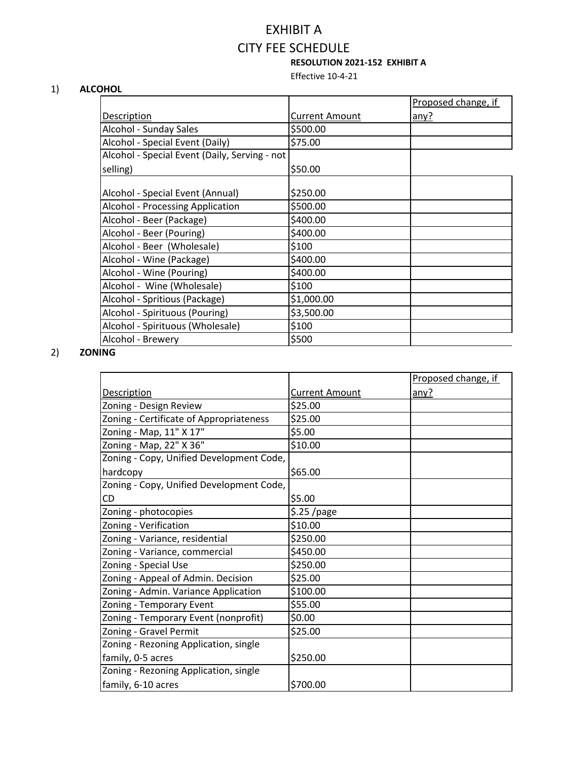# EXHIBIT A CITY FEE SCHEDULE **RESOLUTION 2021-152 EXHIBIT A**

Effective 10-4-21

#### 1) **ALCOHOL**

|                                               |                | Proposed change, if |
|-----------------------------------------------|----------------|---------------------|
| Description                                   | Current Amount | any?                |
| Alcohol - Sunday Sales                        | \$500.00       |                     |
| Alcohol - Special Event (Daily)               | \$75.00        |                     |
| Alcohol - Special Event (Daily, Serving - not |                |                     |
| selling)                                      | \$50.00        |                     |
| Alcohol - Special Event (Annual)              | \$250.00       |                     |
| <b>Alcohol - Processing Application</b>       | \$500.00       |                     |
| Alcohol - Beer (Package)                      | \$400.00       |                     |
| Alcohol - Beer (Pouring)                      | \$400.00       |                     |
| Alcohol - Beer (Wholesale)                    | \$100          |                     |
| Alcohol - Wine (Package)                      | \$400.00       |                     |
| Alcohol - Wine (Pouring)                      | \$400.00       |                     |
| Alcohol - Wine (Wholesale)                    | \$100          |                     |
| Alcohol - Spritious (Package)                 | \$1,000.00     |                     |
| Alcohol - Spirituous (Pouring)                | \$3,500.00     |                     |
| Alcohol - Spirituous (Wholesale)              | \$100          |                     |
| Alcohol - Brewery                             | \$500          |                     |

# 2) **ZONING**

|                                          |                       | Proposed change, if |
|------------------------------------------|-----------------------|---------------------|
| <b>Description</b>                       | <b>Current Amount</b> | any?                |
| Zoning - Design Review                   | \$25.00               |                     |
| Zoning - Certificate of Appropriateness  | \$25.00               |                     |
| Zoning - Map, 11" X 17"                  | \$5.00                |                     |
| Zoning - Map, 22" X 36"                  | \$10.00               |                     |
| Zoning - Copy, Unified Development Code, |                       |                     |
| hardcopy                                 | \$65.00               |                     |
| Zoning - Copy, Unified Development Code, |                       |                     |
| CD                                       | \$5.00                |                     |
| Zoning - photocopies                     | $$.25$ /page          |                     |
| Zoning - Verification                    | \$10.00               |                     |
| Zoning - Variance, residential           | \$250.00              |                     |
| Zoning - Variance, commercial            | \$450.00              |                     |
| Zoning - Special Use                     | \$250.00              |                     |
| Zoning - Appeal of Admin. Decision       | \$25.00               |                     |
| Zoning - Admin. Variance Application     | \$100.00              |                     |
| Zoning - Temporary Event                 | \$55.00               |                     |
| Zoning - Temporary Event (nonprofit)     | \$0.00                |                     |
| Zoning - Gravel Permit                   | \$25.00               |                     |
| Zoning - Rezoning Application, single    |                       |                     |
| family, 0-5 acres                        | \$250.00              |                     |
| Zoning - Rezoning Application, single    |                       |                     |
| family, 6-10 acres                       | \$700.00              |                     |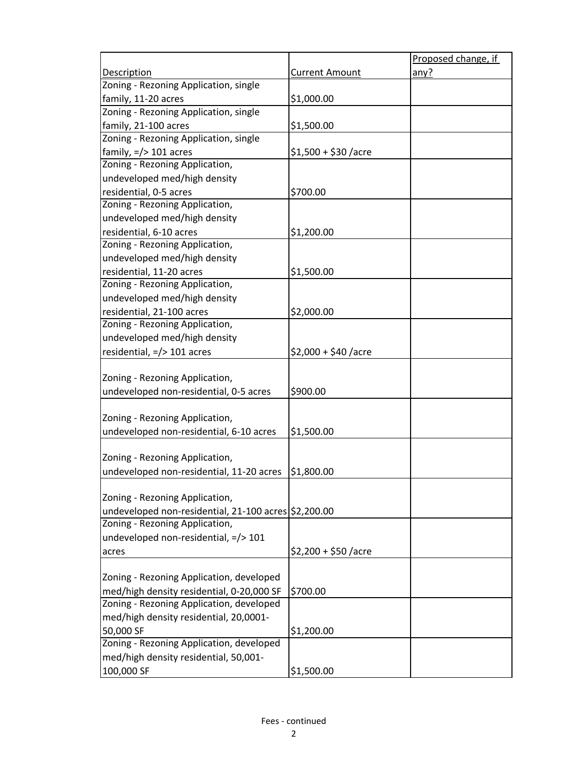|                                                      |                       | Proposed change, if |
|------------------------------------------------------|-----------------------|---------------------|
| <b>Description</b>                                   | <b>Current Amount</b> | any?                |
| Zoning - Rezoning Application, single                |                       |                     |
| family, 11-20 acres                                  | \$1,000.00            |                     |
| Zoning - Rezoning Application, single                |                       |                     |
| family, 21-100 acres                                 | \$1,500.00            |                     |
| Zoning - Rezoning Application, single                |                       |                     |
| family, $=$ /> 101 acres                             | $$1,500 + $30$ /acre  |                     |
| Zoning - Rezoning Application,                       |                       |                     |
| undeveloped med/high density                         |                       |                     |
| residential, 0-5 acres                               | \$700.00              |                     |
| Zoning - Rezoning Application,                       |                       |                     |
| undeveloped med/high density                         |                       |                     |
| residential, 6-10 acres                              | \$1,200.00            |                     |
| Zoning - Rezoning Application,                       |                       |                     |
| undeveloped med/high density                         |                       |                     |
| residential, 11-20 acres                             | \$1,500.00            |                     |
| Zoning - Rezoning Application,                       |                       |                     |
| undeveloped med/high density                         |                       |                     |
| residential, 21-100 acres                            | \$2,000.00            |                     |
| Zoning - Rezoning Application,                       |                       |                     |
| undeveloped med/high density                         |                       |                     |
| residential, =/> 101 acres                           | $$2,000 + $40$ /acre  |                     |
|                                                      |                       |                     |
| Zoning - Rezoning Application,                       |                       |                     |
| undeveloped non-residential, 0-5 acres               | \$900.00              |                     |
|                                                      |                       |                     |
| Zoning - Rezoning Application,                       |                       |                     |
| undeveloped non-residential, 6-10 acres              | \$1,500.00            |                     |
|                                                      |                       |                     |
| Zoning - Rezoning Application,                       |                       |                     |
| undeveloped non-residential, 11-20 acres             | \$1,800.00            |                     |
|                                                      |                       |                     |
| Zoning - Rezoning Application,                       |                       |                     |
| undeveloped non-residential, 21-100 acres \$2,200.00 |                       |                     |
| Zoning - Rezoning Application,                       |                       |                     |
| undeveloped non-residential, =/> 101                 |                       |                     |
| acres                                                | $$2,200 + $50$ /acre  |                     |
|                                                      |                       |                     |
| Zoning - Rezoning Application, developed             |                       |                     |
| med/high density residential, 0-20,000 SF            | \$700.00              |                     |
| Zoning - Rezoning Application, developed             |                       |                     |
| med/high density residential, 20,0001-               |                       |                     |
| 50,000 SF                                            | \$1,200.00            |                     |
| Zoning - Rezoning Application, developed             |                       |                     |
| med/high density residential, 50,001-                |                       |                     |
| 100,000 SF                                           | \$1,500.00            |                     |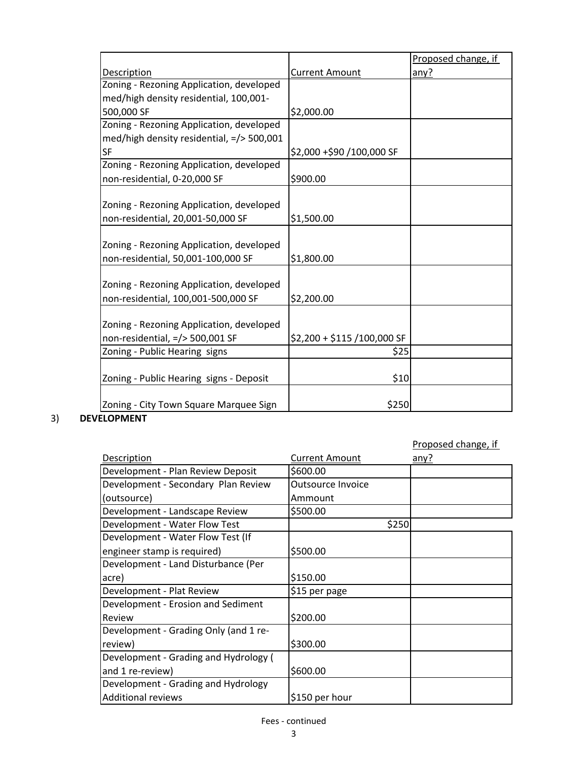|                                                              |                             | Proposed change, if |
|--------------------------------------------------------------|-----------------------------|---------------------|
| Description                                                  | <b>Current Amount</b>       | any?                |
| Zoning - Rezoning Application, developed                     |                             |                     |
| med/high density residential, 100,001-                       |                             |                     |
| 500,000 SF                                                   | \$2,000.00                  |                     |
| Zoning - Rezoning Application, developed                     |                             |                     |
| med/high density residential, =/> 500,001                    |                             |                     |
| <b>SF</b>                                                    | \$2,000 +\$90 /100,000 SF   |                     |
| Zoning - Rezoning Application, developed                     |                             |                     |
| non-residential, 0-20,000 SF                                 | \$900.00                    |                     |
|                                                              |                             |                     |
| Zoning - Rezoning Application, developed                     |                             |                     |
| non-residential, 20,001-50,000 SF                            | \$1,500.00                  |                     |
|                                                              |                             |                     |
| Zoning - Rezoning Application, developed                     |                             |                     |
| non-residential, 50,001-100,000 SF                           | \$1,800.00                  |                     |
|                                                              |                             |                     |
| Zoning - Rezoning Application, developed                     |                             |                     |
| non-residential, 100,001-500,000 SF                          | \$2,200.00                  |                     |
|                                                              |                             |                     |
| Zoning - Rezoning Application, developed                     |                             |                     |
| non-residential, =/> 500,001 SF                              | \$2,200 + \$115 /100,000 SF |                     |
| Zoning - Public Hearing signs                                | \$25                        |                     |
|                                                              |                             |                     |
| Zoning - Public Hearing signs - Deposit                      | \$10                        |                     |
|                                                              |                             |                     |
| Zoning - City Town Square Marquee Sign<br><b>FI ADRAFNIT</b> | \$250                       |                     |

# 3) **DEVELOPMENT**

|                                       |                          | Proposed change, if |
|---------------------------------------|--------------------------|---------------------|
| Description                           | <b>Current Amount</b>    | any?                |
| Development - Plan Review Deposit     | \$600.00                 |                     |
| Development - Secondary Plan Review   | <b>Outsource Invoice</b> |                     |
| (outsource)                           | Ammount                  |                     |
| Development - Landscape Review        | \$500.00                 |                     |
| Development - Water Flow Test         | \$250                    |                     |
| Development - Water Flow Test (If     |                          |                     |
| engineer stamp is required)           | \$500.00                 |                     |
| Development - Land Disturbance (Per   |                          |                     |
| acre)                                 | \$150.00                 |                     |
| Development - Plat Review             | \$15 per page            |                     |
| Development - Erosion and Sediment    |                          |                     |
| Review                                | \$200.00                 |                     |
| Development - Grading Only (and 1 re- |                          |                     |
| review)                               | \$300.00                 |                     |
| Development - Grading and Hydrology ( |                          |                     |
| and 1 re-review)                      | \$600.00                 |                     |
| Development - Grading and Hydrology   |                          |                     |
| <b>Additional reviews</b>             | \$150 per hour           |                     |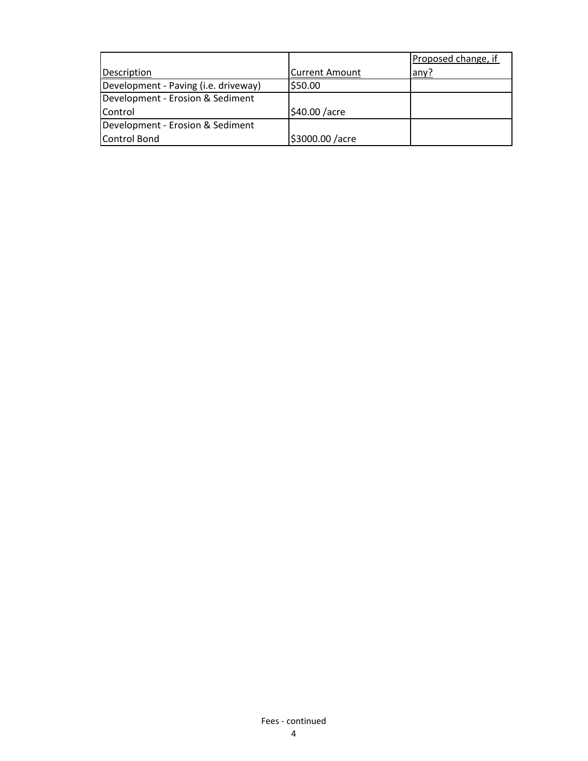|                                      |                       | Proposed change, if |
|--------------------------------------|-----------------------|---------------------|
| Description                          | <b>Current Amount</b> | any?                |
| Development - Paving (i.e. driveway) | \$50.00               |                     |
| Development - Erosion & Sediment     |                       |                     |
| Control                              | \$40.00 /acre         |                     |
| Development - Erosion & Sediment     |                       |                     |
| Control Bond                         | \$3000.00 /acre       |                     |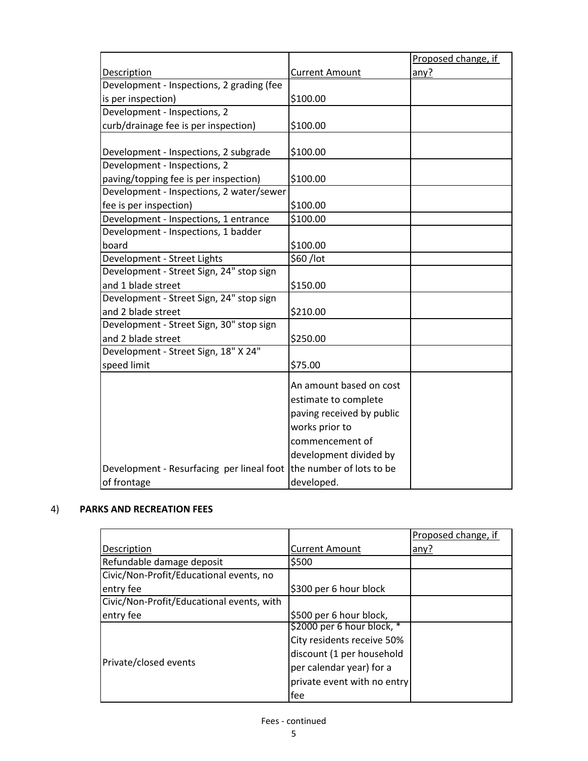|                                           |                           | Proposed change, if |
|-------------------------------------------|---------------------------|---------------------|
| Description                               | <b>Current Amount</b>     | any?                |
| Development - Inspections, 2 grading (fee |                           |                     |
| is per inspection)                        | \$100.00                  |                     |
| Development - Inspections, 2              |                           |                     |
| curb/drainage fee is per inspection)      | \$100.00                  |                     |
|                                           |                           |                     |
| Development - Inspections, 2 subgrade     | \$100.00                  |                     |
| Development - Inspections, 2              |                           |                     |
| paving/topping fee is per inspection)     | \$100.00                  |                     |
| Development - Inspections, 2 water/sewer  |                           |                     |
| fee is per inspection)                    | \$100.00                  |                     |
| Development - Inspections, 1 entrance     | \$100.00                  |                     |
| Development - Inspections, 1 badder       |                           |                     |
| board                                     | \$100.00                  |                     |
| Development - Street Lights               | \$60/lot                  |                     |
| Development - Street Sign, 24" stop sign  |                           |                     |
| and 1 blade street                        | \$150.00                  |                     |
| Development - Street Sign, 24" stop sign  |                           |                     |
| and 2 blade street                        | \$210.00                  |                     |
| Development - Street Sign, 30" stop sign  |                           |                     |
| and 2 blade street                        | \$250.00                  |                     |
| Development - Street Sign, 18" X 24"      |                           |                     |
| speed limit                               | \$75.00                   |                     |
|                                           | An amount based on cost   |                     |
|                                           | estimate to complete      |                     |
|                                           | paving received by public |                     |
|                                           |                           |                     |
|                                           | works prior to            |                     |
|                                           | commencement of           |                     |
|                                           | development divided by    |                     |
| Development - Resurfacing per lineal foot | the number of lots to be  |                     |
| of frontage                               | developed.                |                     |

#### 4) **PARKS AND RECREATION FEES**

|                                           |                             | Proposed change, if |
|-------------------------------------------|-----------------------------|---------------------|
| Description                               | <b>Current Amount</b>       | any?                |
| Refundable damage deposit                 | \$500                       |                     |
| Civic/Non-Profit/Educational events, no   |                             |                     |
| entry fee                                 | \$300 per 6 hour block      |                     |
| Civic/Non-Profit/Educational events, with |                             |                     |
| entry fee                                 | \$500 per 6 hour block,     |                     |
|                                           | \$2000 per 6 hour block, *  |                     |
|                                           | City residents receive 50%  |                     |
|                                           | discount (1 per household   |                     |
| Private/closed events                     | per calendar year) for a    |                     |
|                                           | private event with no entry |                     |
|                                           | fee                         |                     |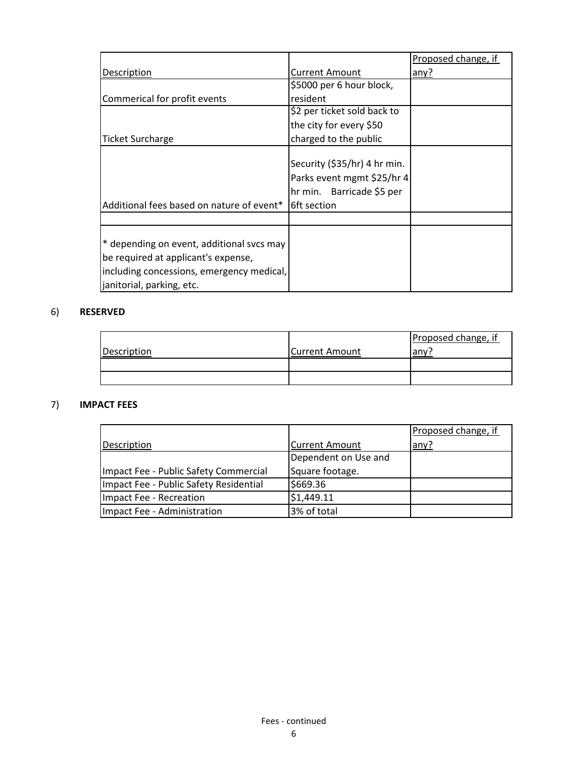|                                                                                                                                                                       |                                                                                                        | Proposed change, if |
|-----------------------------------------------------------------------------------------------------------------------------------------------------------------------|--------------------------------------------------------------------------------------------------------|---------------------|
| Description                                                                                                                                                           | Current Amount                                                                                         | any?                |
|                                                                                                                                                                       | \$5000 per 6 hour block,                                                                               |                     |
| Commerical for profit events                                                                                                                                          | resident                                                                                               |                     |
|                                                                                                                                                                       | \$2 per ticket sold back to                                                                            |                     |
|                                                                                                                                                                       | the city for every \$50                                                                                |                     |
| <b>Ticket Surcharge</b>                                                                                                                                               | charged to the public                                                                                  |                     |
| Additional fees based on nature of event*                                                                                                                             | Security (\$35/hr) 4 hr min.<br>Parks event mgmt \$25/hr 4<br>hr min. Barricade \$5 per<br>6ft section |                     |
|                                                                                                                                                                       |                                                                                                        |                     |
| <sup>*</sup> depending on event, additional svcs may<br>be required at applicant's expense,<br>including concessions, emergency medical,<br>janitorial, parking, etc. |                                                                                                        |                     |

# 6) **RESERVED**

| Description | Current Amount | Proposed change, if<br>anvi |
|-------------|----------------|-----------------------------|
|             |                |                             |
|             |                |                             |

### 7) **IMPACT FEES**

|                                        |                       | Proposed change, if |
|----------------------------------------|-----------------------|---------------------|
| Description                            | <b>Current Amount</b> | any?                |
|                                        | Dependent on Use and  |                     |
| Impact Fee - Public Safety Commercial  | Square footage.       |                     |
| Impact Fee - Public Safety Residential | \$669.36              |                     |
| Impact Fee - Recreation                | \$1,449.11            |                     |
| Impact Fee - Administration            | 3% of total           |                     |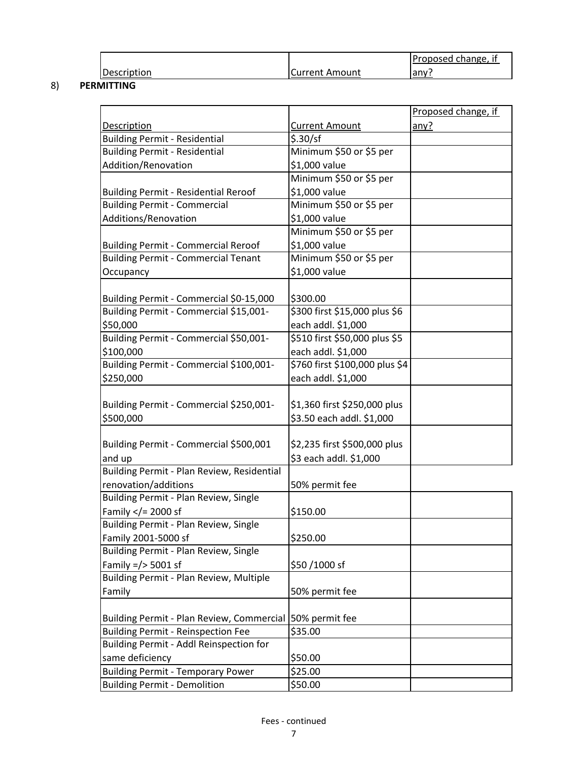|             |                | IProposed change, it |
|-------------|----------------|----------------------|
| Description | Current Amount | any :                |

#### 8) **PERMITTING**

|                                                            |                                | Proposed change, if |
|------------------------------------------------------------|--------------------------------|---------------------|
| <b>Description</b>                                         | <b>Current Amount</b>          | any?                |
| <b>Building Permit - Residential</b>                       | \$.30/sf                       |                     |
| <b>Building Permit - Residential</b>                       | Minimum \$50 or \$5 per        |                     |
| Addition/Renovation                                        | \$1,000 value                  |                     |
|                                                            | Minimum \$50 or \$5 per        |                     |
| <b>Building Permit - Residential Reroof</b>                | \$1,000 value                  |                     |
| <b>Building Permit - Commercial</b>                        | Minimum \$50 or \$5 per        |                     |
| Additions/Renovation                                       | \$1,000 value                  |                     |
|                                                            | Minimum \$50 or \$5 per        |                     |
| <b>Building Permit - Commercial Reroof</b>                 | \$1,000 value                  |                     |
| <b>Building Permit - Commercial Tenant</b>                 | Minimum \$50 or \$5 per        |                     |
| Occupancy                                                  | \$1,000 value                  |                     |
|                                                            |                                |                     |
| Building Permit - Commercial \$0-15,000                    | \$300.00                       |                     |
| Building Permit - Commercial \$15,001-                     | \$300 first \$15,000 plus \$6  |                     |
| \$50,000                                                   | each addl. \$1,000             |                     |
| Building Permit - Commercial \$50,001-                     | \$510 first \$50,000 plus \$5  |                     |
| \$100,000                                                  | each addl. \$1,000             |                     |
| Building Permit - Commercial \$100,001-                    | \$760 first \$100,000 plus \$4 |                     |
| \$250,000                                                  | each addl. \$1,000             |                     |
|                                                            |                                |                     |
| Building Permit - Commercial \$250,001-                    | \$1,360 first \$250,000 plus   |                     |
| \$500,000                                                  | \$3.50 each addl. \$1,000      |                     |
|                                                            |                                |                     |
| Building Permit - Commercial \$500,001                     | \$2,235 first \$500,000 plus   |                     |
| and up                                                     | \$3 each addl. \$1,000         |                     |
| Building Permit - Plan Review, Residential                 |                                |                     |
| renovation/additions                                       | 50% permit fee                 |                     |
| Building Permit - Plan Review, Single                      |                                |                     |
| Family $\lt/$ 2000 sf                                      | \$150.00                       |                     |
| Building Permit - Plan Review, Single                      |                                |                     |
| Family 2001-5000 sf                                        | \$250.00                       |                     |
| Building Permit - Plan Review, Single                      |                                |                     |
| Family $=$ /> 5001 sf                                      | $$50/1000$ sf                  |                     |
| Building Permit - Plan Review, Multiple                    |                                |                     |
| Family                                                     | 50% permit fee                 |                     |
| Building Permit - Plan Review, Commercial   50% permit fee |                                |                     |
| <b>Building Permit - Reinspection Fee</b>                  | \$35.00                        |                     |
| Building Permit - Addl Reinspection for                    |                                |                     |
| same deficiency                                            | \$50.00                        |                     |
| <b>Building Permit - Temporary Power</b>                   | \$25.00                        |                     |
| <b>Building Permit - Demolition</b>                        | \$50.00                        |                     |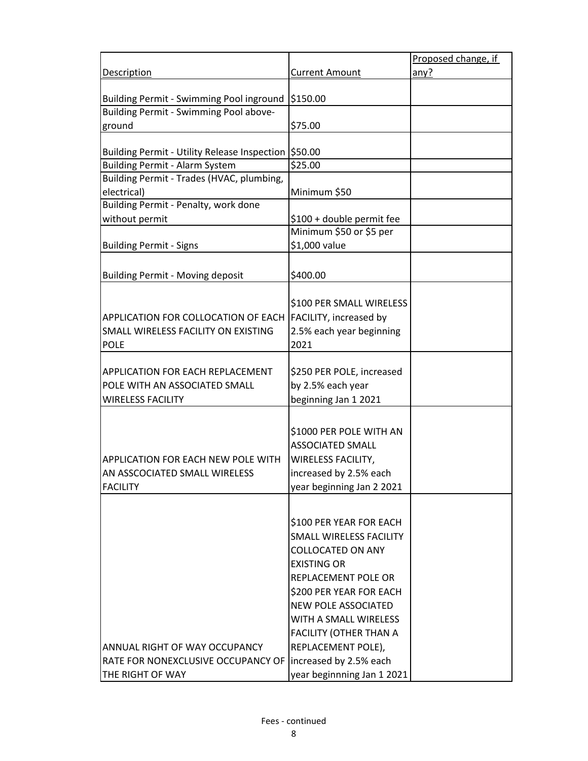|                                                            |                                | Proposed change, if |
|------------------------------------------------------------|--------------------------------|---------------------|
| Description                                                | Current Amount                 | any?                |
|                                                            |                                |                     |
| Building Permit - Swimming Pool inground                   | \$150.00                       |                     |
| Building Permit - Swimming Pool above-                     |                                |                     |
| ground                                                     | \$75.00                        |                     |
| Building Permit - Utility Release Inspection   \$50.00     |                                |                     |
| <b>Building Permit - Alarm System</b>                      | \$25.00                        |                     |
| Building Permit - Trades (HVAC, plumbing,                  |                                |                     |
| electrical)                                                | Minimum \$50                   |                     |
| Building Permit - Penalty, work done                       |                                |                     |
| without permit                                             | \$100 + double permit fee      |                     |
|                                                            | Minimum \$50 or \$5 per        |                     |
| <b>Building Permit - Signs</b>                             | \$1,000 value                  |                     |
|                                                            |                                |                     |
| <b>Building Permit - Moving deposit</b>                    | \$400.00                       |                     |
|                                                            |                                |                     |
|                                                            | \$100 PER SMALL WIRELESS       |                     |
| APPLICATION FOR COLLOCATION OF EACH                        | FACILITY, increased by         |                     |
| SMALL WIRELESS FACILITY ON EXISTING                        | 2.5% each year beginning       |                     |
| <b>POLE</b>                                                | 2021                           |                     |
|                                                            |                                |                     |
| <b>APPLICATION FOR EACH REPLACEMENT</b>                    | \$250 PER POLE, increased      |                     |
| POLE WITH AN ASSOCIATED SMALL                              | by 2.5% each year              |                     |
| <b>WIRELESS FACILITY</b>                                   | beginning Jan 1 2021           |                     |
|                                                            |                                |                     |
|                                                            | \$1000 PER POLE WITH AN        |                     |
|                                                            | <b>ASSOCIATED SMALL</b>        |                     |
| <b>APPLICATION FOR EACH NEW POLE WITH</b>                  | <b>WIRELESS FACILITY,</b>      |                     |
| AN ASSCOCIATED SMALL WIRELESS                              | increased by 2.5% each         |                     |
| <b>FACILITY</b>                                            | year beginning Jan 2 2021      |                     |
|                                                            |                                |                     |
|                                                            |                                |                     |
|                                                            | \$100 PER YEAR FOR EACH        |                     |
|                                                            | <b>SMALL WIRELESS FACILITY</b> |                     |
|                                                            | <b>COLLOCATED ON ANY</b>       |                     |
|                                                            | <b>EXISTING OR</b>             |                     |
|                                                            | REPLACEMENT POLE OR            |                     |
|                                                            | \$200 PER YEAR FOR EACH        |                     |
|                                                            | <b>NEW POLE ASSOCIATED</b>     |                     |
|                                                            | WITH A SMALL WIRELESS          |                     |
|                                                            | <b>FACILITY (OTHER THAN A</b>  |                     |
| ANNUAL RIGHT OF WAY OCCUPANCY                              | REPLACEMENT POLE),             |                     |
| RATE FOR NONEXCLUSIVE OCCUPANCY OF lincreased by 2.5% each |                                |                     |
| THE RIGHT OF WAY                                           | year beginnning Jan 1 2021     |                     |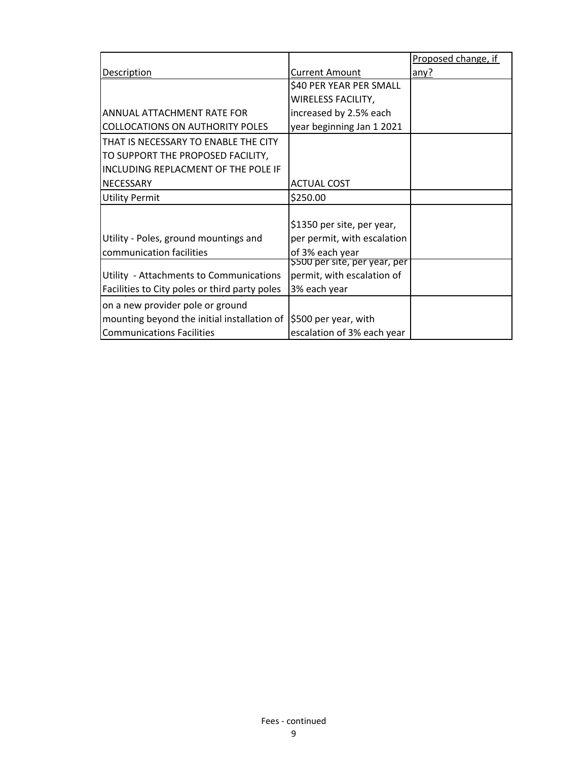|                                               |                              | Proposed change, if |
|-----------------------------------------------|------------------------------|---------------------|
| <b>Description</b>                            | <b>Current Amount</b>        | any?                |
|                                               | \$40 PER YEAR PER SMALL      |                     |
|                                               | WIRELESS FACILITY,           |                     |
| ANNUAL ATTACHMENT RATE FOR                    | increased by 2.5% each       |                     |
| <b>COLLOCATIONS ON AUTHORITY POLES</b>        | year beginning Jan 1 2021    |                     |
| THAT IS NECESSARY TO ENABLE THE CITY          |                              |                     |
| TO SUPPORT THE PROPOSED FACILITY,             |                              |                     |
| INCLUDING REPLACMENT OF THE POLE IF           |                              |                     |
| <b>NECESSARY</b>                              | <b>ACTUAL COST</b>           |                     |
| <b>Utility Permit</b>                         | \$250.00                     |                     |
|                                               |                              |                     |
|                                               | \$1350 per site, per year,   |                     |
| Utility - Poles, ground mountings and         | per permit, with escalation  |                     |
| communication facilities                      | of 3% each year              |                     |
|                                               | 5500 per site, per year, per |                     |
| Utility - Attachments to Communications       | permit, with escalation of   |                     |
| Facilities to City poles or third party poles | 3% each year                 |                     |
| on a new provider pole or ground              |                              |                     |
| mounting beyond the initial installation of   | \$500 per year, with         |                     |
| <b>Communications Facilities</b>              | escalation of 3% each year   |                     |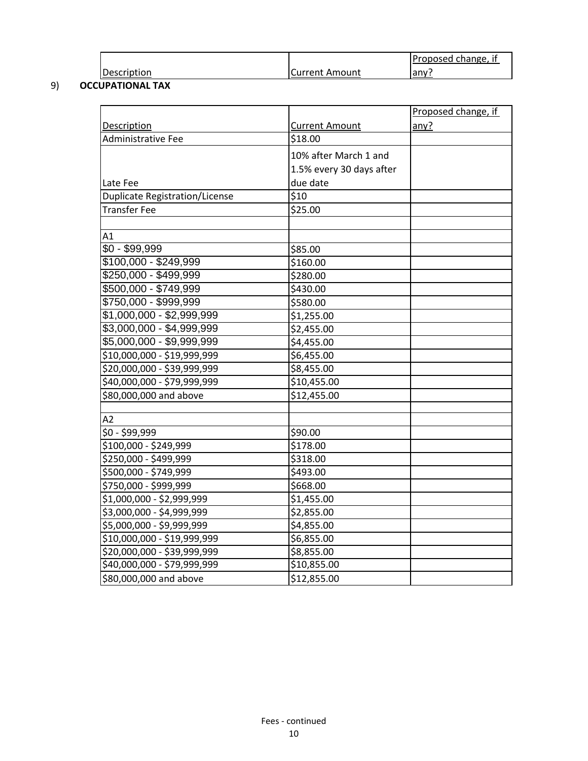|             |                     | Proposed change,<br>ΙŤ |
|-------------|---------------------|------------------------|
| Description | : Amount<br>Current | Tany                   |

# 9) **OCCUPATIONAL TAX**

|                                       |                          | Proposed change, if |
|---------------------------------------|--------------------------|---------------------|
| <b>Description</b>                    | <b>Current Amount</b>    | any?                |
| Administrative Fee                    | \$18.00                  |                     |
|                                       | 10% after March 1 and    |                     |
|                                       | 1.5% every 30 days after |                     |
| Late Fee                              | due date                 |                     |
| <b>Duplicate Registration/License</b> | \$10                     |                     |
| <b>Transfer Fee</b>                   | \$25.00                  |                     |
|                                       |                          |                     |
| A1                                    |                          |                     |
| $$0 - $99,999$                        | \$85.00                  |                     |
| $$100,000 - $249,999$                 | \$160.00                 |                     |
| $$250,000 - $499,999$                 | \$280.00                 |                     |
| \$500,000 - \$749,999                 | \$430.00                 |                     |
| \$750,000 - \$999,999                 | \$580.00                 |                     |
| \$1,000,000 - \$2,999,999             | \$1,255.00               |                     |
| \$3,000,000 - \$4,999,999             | \$2,455.00               |                     |
| \$5,000,000 - \$9,999,999             | \$4,455.00               |                     |
| \$10,000,000 - \$19,999,999           | \$6,455.00               |                     |
| \$20,000,000 - \$39,999,999           | \$8,455.00               |                     |
| \$40,000,000 - \$79,999,999           | \$10,455.00              |                     |
| \$80,000,000 and above                | \$12,455.00              |                     |
|                                       |                          |                     |
| A2                                    |                          |                     |
| \$0 - \$99,999                        | \$90.00                  |                     |
| \$100,000 - \$249,999                 | \$178.00                 |                     |
| \$250,000 - \$499,999                 | \$318.00                 |                     |
| \$500,000 - \$749,999                 | \$493.00                 |                     |
| \$750,000 - \$999,999                 | \$668.00                 |                     |
| \$1,000,000 - \$2,999,999             | \$1,455.00               |                     |
| \$3,000,000 - \$4,999,999             | \$2,855.00               |                     |
| \$5,000,000 - \$9,999,999             | \$4,855.00               |                     |
| \$10,000,000 - \$19,999,999           | \$6,855.00               |                     |
| \$20,000,000 - \$39,999,999           | \$8,855.00               |                     |
| \$40,000,000 - \$79,999,999           | \$10,855.00              |                     |
| \$80,000,000 and above                | \$12,855.00              |                     |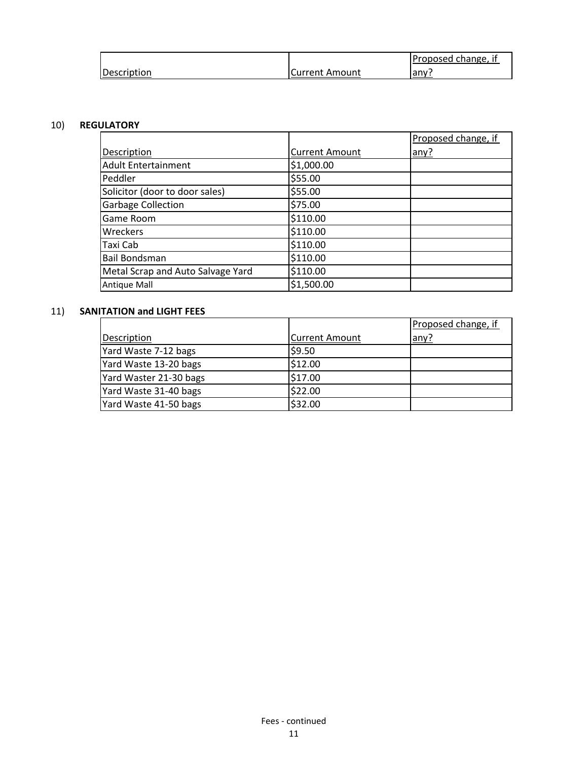|             |                | (Proposed change,<br>-II |
|-------------|----------------|--------------------------|
| Description | Current Amount | jany:                    |

# 10) **REGULATORY**

|                                   |                       | Proposed change, if |
|-----------------------------------|-----------------------|---------------------|
| Description                       | <b>Current Amount</b> | any?                |
| <b>Adult Entertainment</b>        | \$1,000.00            |                     |
| Peddler                           | \$55.00               |                     |
| Solicitor (door to door sales)    | \$55.00               |                     |
| <b>Garbage Collection</b>         | \$75.00               |                     |
| Game Room                         | \$110.00              |                     |
| Wreckers                          | \$110.00              |                     |
| Taxi Cab                          | \$110.00              |                     |
| <b>Bail Bondsman</b>              | \$110.00              |                     |
| Metal Scrap and Auto Salvage Yard | \$110.00              |                     |
| <b>Antique Mall</b>               | \$1,500.00            |                     |

# 11) **SANITATION and LIGHT FEES**

|                        |                       | Proposed change, if |
|------------------------|-----------------------|---------------------|
| Description            | <b>Current Amount</b> | any?                |
| Yard Waste 7-12 bags   | \$9.50                |                     |
| Yard Waste 13-20 bags  | \$12.00               |                     |
| Yard Waster 21-30 bags | \$17.00               |                     |
| Yard Waste 31-40 bags  | \$22.00               |                     |
| Yard Waste 41-50 bags  | \$32.00               |                     |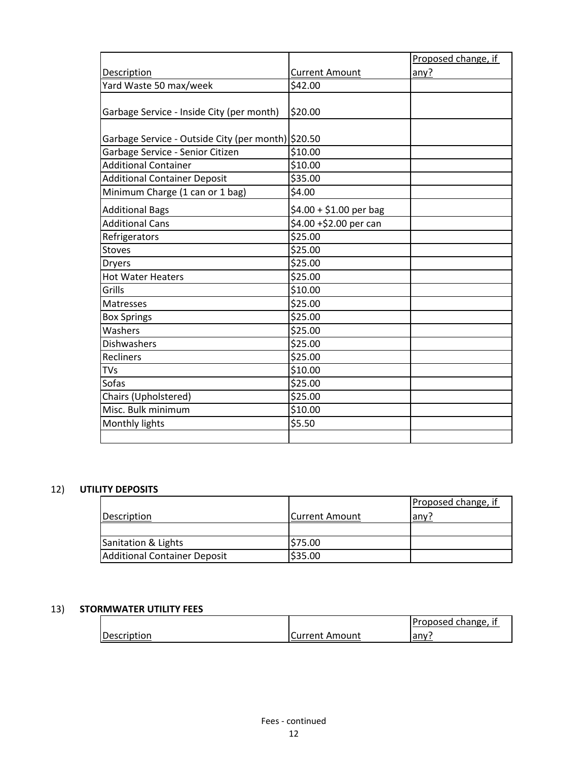|                                                    |                         | Proposed change, if |
|----------------------------------------------------|-------------------------|---------------------|
| Description                                        | <b>Current Amount</b>   | any?                |
| Yard Waste 50 max/week                             | \$42.00                 |                     |
| Garbage Service - Inside City (per month)          | \$20.00                 |                     |
| Garbage Service - Outside City (per month) \$20.50 |                         |                     |
| Garbage Service - Senior Citizen                   | \$10.00                 |                     |
| <b>Additional Container</b>                        | \$10.00                 |                     |
| <b>Additional Container Deposit</b>                | \$35.00                 |                     |
| Minimum Charge (1 can or 1 bag)                    | \$4.00                  |                     |
| <b>Additional Bags</b>                             | $$4.00 + $1.00$ per bag |                     |
| <b>Additional Cans</b>                             | \$4.00 +\$2.00 per can  |                     |
| Refrigerators                                      | \$25.00                 |                     |
| <b>Stoves</b>                                      | \$25.00                 |                     |
| <b>Dryers</b>                                      | \$25.00                 |                     |
| <b>Hot Water Heaters</b>                           | \$25.00                 |                     |
| Grills                                             | \$10.00                 |                     |
| Matresses                                          | \$25.00                 |                     |
| <b>Box Springs</b>                                 | \$25.00                 |                     |
| Washers                                            | \$25.00                 |                     |
| <b>Dishwashers</b>                                 | \$25.00                 |                     |
| Recliners                                          | \$25.00                 |                     |
| TVs                                                | \$10.00                 |                     |
| Sofas                                              | \$25.00                 |                     |
| Chairs (Upholstered)                               | \$25.00                 |                     |
| Misc. Bulk minimum                                 | \$10.00                 |                     |
| Monthly lights                                     | \$5.50                  |                     |
|                                                    |                         |                     |

# 12) **UTILITY DEPOSITS**

|                              |                       | Proposed change, if |
|------------------------------|-----------------------|---------------------|
| Description                  | <b>Current Amount</b> | any?                |
|                              |                       |                     |
| Sanitation & Lights          | \$75.00               |                     |
| Additional Container Deposit | \$35.00               |                     |

#### 13) **STORMWATER UTILITY FEES**

|             |                       | Proposed change, if |
|-------------|-----------------------|---------------------|
| Description | <b>Current Amount</b> | any:                |